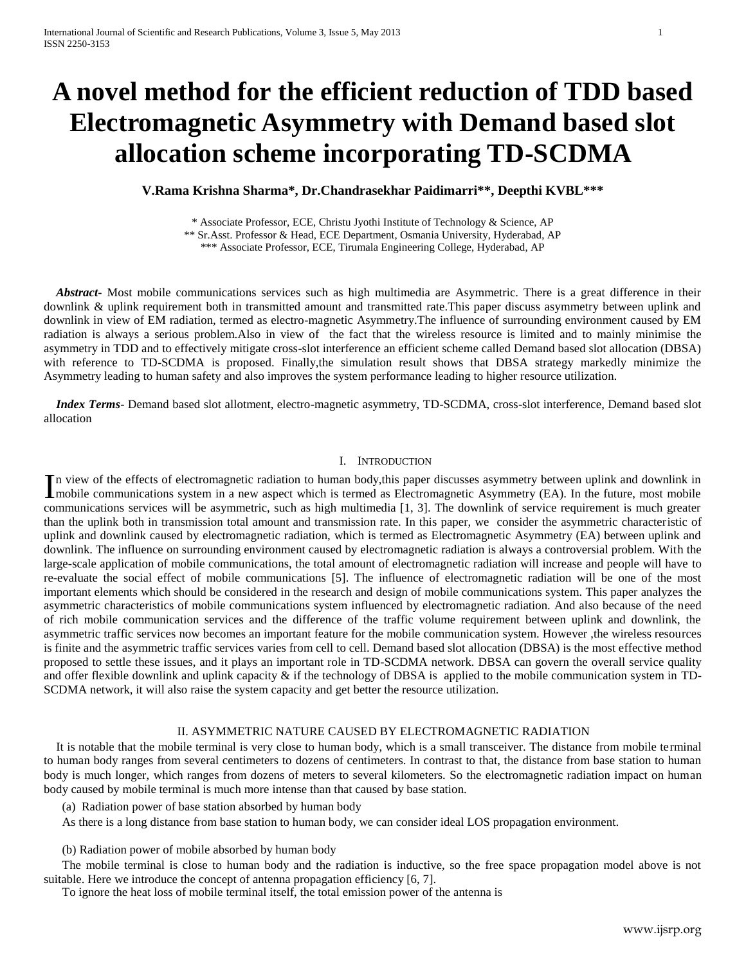# **A novel method for the efficient reduction of TDD based Electromagnetic Asymmetry with Demand based slot allocation scheme incorporating TD-SCDMA**

**V.Rama Krishna Sharma\*, Dr.Chandrasekhar Paidimarri\*\*, Deepthi KVBL\*\*\***

\* Associate Professor, ECE, Christu Jyothi Institute of Technology & Science, AP

\*\* Sr.Asst. Professor & Head, ECE Department, Osmania University, Hyderabad, AP

\*\*\* Associate Professor, ECE, Tirumala Engineering College, Hyderabad, AP

 *Abstract***-** Most mobile communications services such as high multimedia are Asymmetric. There is a great difference in their downlink & uplink requirement both in transmitted amount and transmitted rate.This paper discuss asymmetry between uplink and downlink in view of EM radiation, termed as electro-magnetic Asymmetry.The influence of surrounding environment caused by EM radiation is always a serious problem.Also in view of the fact that the wireless resource is limited and to mainly minimise the asymmetry in TDD and to effectively mitigate cross-slot interference an efficient scheme called Demand based slot allocation (DBSA) with reference to TD-SCDMA is proposed. Finally,the simulation result shows that DBSA strategy markedly minimize the Asymmetry leading to human safety and also improves the system performance leading to higher resource utilization.

 *Index Terms*- Demand based slot allotment, electro-magnetic asymmetry, TD-SCDMA, cross-slot interference, Demand based slot allocation

# I. INTRODUCTION

n view of the effects of electromagnetic radiation to human body,this paper discusses asymmetry between uplink and downlink in In view of the effects of electromagnetic radiation to human body, this paper discusses asymmetry between uplink and downlink in mobile communications system in a new aspect which is termed as Electromagnetic Asymmetry (EA communications services will be asymmetric, such as high multimedia [1, 3]. The downlink of service requirement is much greater than the uplink both in transmission total amount and transmission rate. In this paper, we consider the asymmetric characteristic of uplink and downlink caused by electromagnetic radiation, which is termed as Electromagnetic Asymmetry (EA) between uplink and downlink. The influence on surrounding environment caused by electromagnetic radiation is always a controversial problem. With the large-scale application of mobile communications, the total amount of electromagnetic radiation will increase and people will have to re-evaluate the social effect of mobile communications [5]. The influence of electromagnetic radiation will be one of the most important elements which should be considered in the research and design of mobile communications system. This paper analyzes the asymmetric characteristics of mobile communications system influenced by electromagnetic radiation. And also because of the need of rich mobile communication services and the difference of the traffic volume requirement between uplink and downlink, the asymmetric traffic services now becomes an important feature for the mobile communication system. However ,the wireless resources is finite and the asymmetric traffic services varies from cell to cell. Demand based slot allocation (DBSA) is the most effective method proposed to settle these issues, and it plays an important role in TD-SCDMA network. DBSA can govern the overall service quality and offer flexible downlink and uplink capacity  $\&$  if the technology of DBSA is applied to the mobile communication system in TD-SCDMA network, it will also raise the system capacity and get better the resource utilization.

## II. ASYMMETRIC NATURE CAUSED BY ELECTROMAGNETIC RADIATION

 It is notable that the mobile terminal is very close to human body, which is a small transceiver. The distance from mobile terminal to human body ranges from several centimeters to dozens of centimeters. In contrast to that, the distance from base station to human body is much longer, which ranges from dozens of meters to several kilometers. So the electromagnetic radiation impact on human body caused by mobile terminal is much more intense than that caused by base station.

(a) Radiation power of base station absorbed by human body

As there is a long distance from base station to human body, we can consider ideal LOS propagation environment.

(b) Radiation power of mobile absorbed by human body

The mobile terminal is close to human body and the radiation is inductive, so the free space propagation model above is not suitable. Here we introduce the concept of antenna propagation efficiency [6, 7].

To ignore the heat loss of mobile terminal itself, the total emission power of the antenna is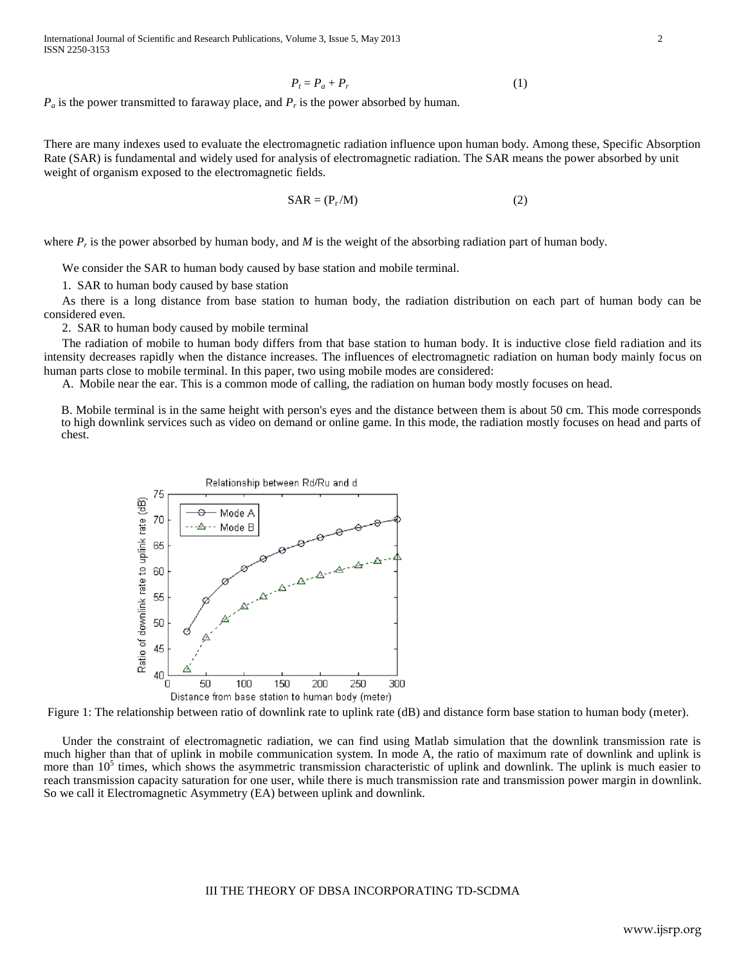International Journal of Scientific and Research Publications, Volume 3, Issue 5, May 2013 2 ISSN 2250-3153

$$
P_t = P_a + P_r \tag{1}
$$

*P<sup>a</sup>* is the power transmitted to faraway place, and *P<sup>r</sup>* is the power absorbed by human.

There are many indexes used to evaluate the electromagnetic radiation influence upon human body. Among these, Specific Absorption Rate (SAR) is fundamental and widely used for analysis of electromagnetic radiation. The SAR means the power absorbed by unit weight of organism exposed to the electromagnetic fields.

$$
SAR = (P_r/M) \tag{2}
$$

where  $P_r$  is the power absorbed by human body, and  $M$  is the weight of the absorbing radiation part of human body.

We consider the SAR to human body caused by base station and mobile terminal.

1. SAR to human body caused by base station

As there is a long distance from base station to human body, the radiation distribution on each part of human body can be considered even.

2. SAR to human body caused by mobile terminal

The radiation of mobile to human body differs from that base station to human body. It is inductive close field radiation and its intensity decreases rapidly when the distance increases. The influences of electromagnetic radiation on human body mainly focus on human parts close to mobile terminal. In this paper, two using mobile modes are considered:

A. Mobile near the ear. This is a common mode of calling, the radiation on human body mostly focuses on head.

B. Mobile terminal is in the same height with person's eyes and the distance between them is about 50 cm. This mode corresponds to high downlink services such as video on demand or online game. In this mode, the radiation mostly focuses on head and parts of chest.



Figure 1: The relationship between ratio of downlink rate to uplink rate (dB) and distance form base station to human body (meter).

Under the constraint of electromagnetic radiation, we can find using Matlab simulation that the downlink transmission rate is much higher than that of uplink in mobile communication system. In mode A, the ratio of maximum rate of downlink and uplink is more than  $10^5$  times, which shows the asymmetric transmission characteristic of uplink and downlink. The uplink is much easier to reach transmission capacity saturation for one user, while there is much transmission rate and transmission power margin in downlink. So we call it Electromagnetic Asymmetry (EA) between uplink and downlink.

III THE THEORY OF DBSA INCORPORATING TD-SCDMA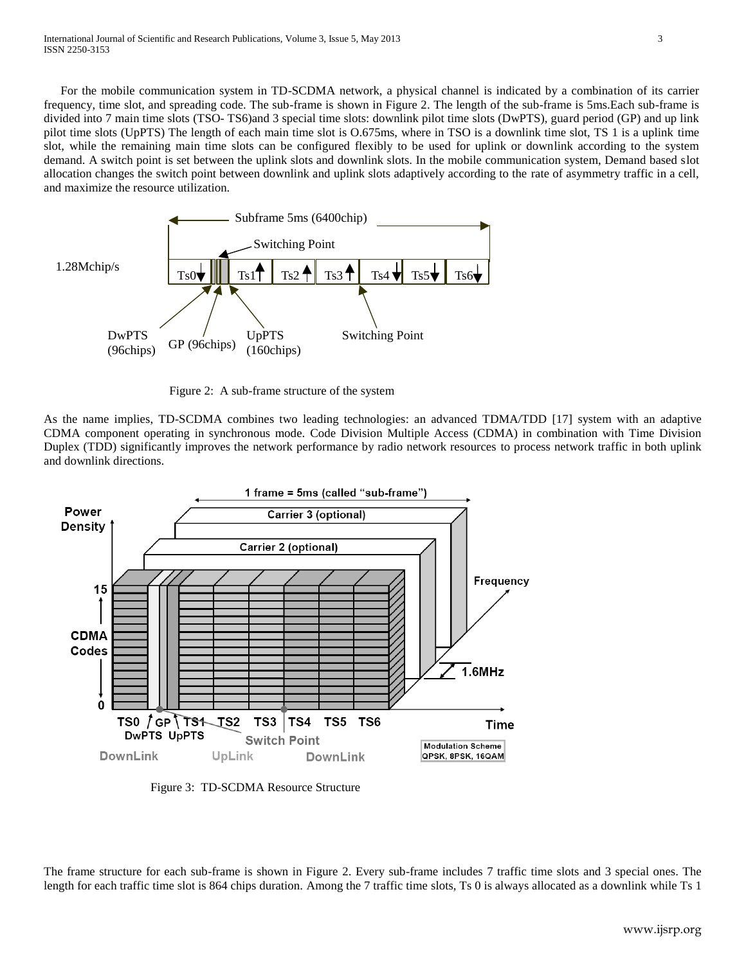For the mobile communication system in TD-SCDMA network, a physical channel is indicated by a combination of its carrier frequency, time slot, and spreading code. The sub-frame is shown in Figure 2. The length of the sub-frame is 5ms.Each sub-frame is divided into 7 main time slots (TSO- TS6)and 3 special time slots: downlink pilot time slots (DwPTS), guard period (GP) and up link pilot time slots (UpPTS) The length of each main time slot is O.675ms, where in TSO is a downlink time slot, TS 1 is a uplink time slot, while the remaining main time slots can be configured flexibly to be used for uplink or downlink according to the system demand. A switch point is set between the uplink slots and downlink slots. In the mobile communication system, Demand based slot allocation changes the switch point between downlink and uplink slots adaptively according to the rate of asymmetry traffic in a cell, and maximize the resource utilization.



Figure 2: A sub-frame structure of the system

As the name implies, TD-SCDMA combines two leading technologies: an advanced TDMA/TDD [17] system with an adaptive CDMA component operating in synchronous mode. Code Division Multiple Access (CDMA) in combination with Time Division Duplex (TDD) significantly improves the network performance by radio network resources to process network traffic in both uplink and downlink directions.



Figure 3: TD-SCDMA Resource Structure

The frame structure for each sub-frame is shown in Figure 2. Every sub-frame includes 7 traffic time slots and 3 special ones. The length for each traffic time slot is 864 chips duration. Among the 7 traffic time slots, Ts 0 is always allocated as a downlink while Ts 1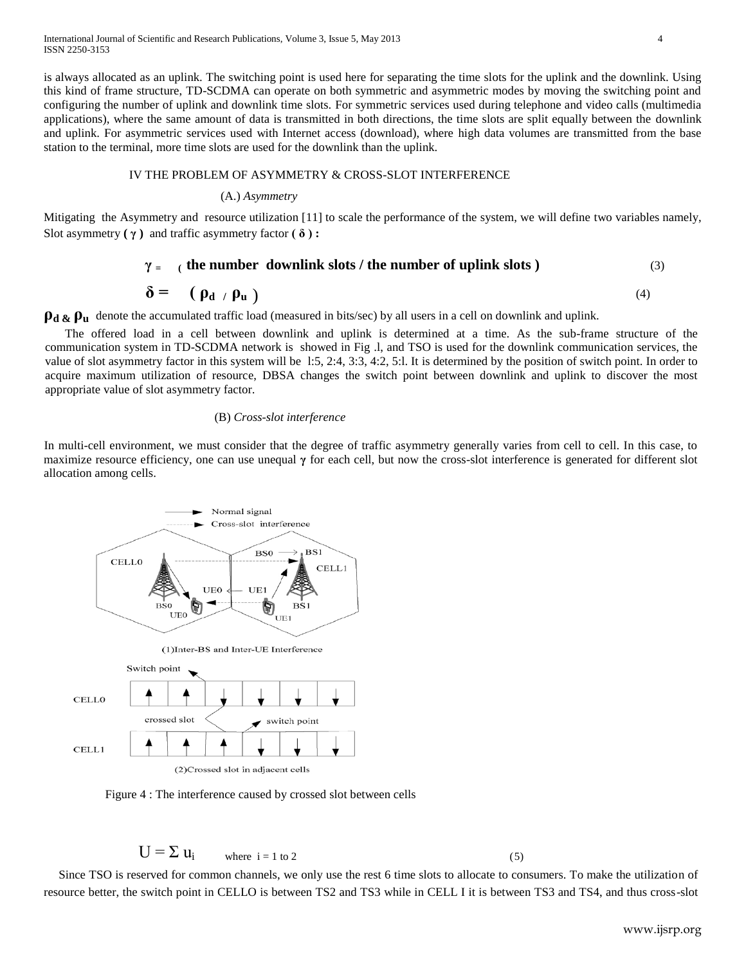is always allocated as an uplink. The switching point is used here for separating the time slots for the uplink and the downlink. Using this kind of frame structure, TD-SCDMA can operate on both symmetric and asymmetric modes by moving the switching point and configuring the number of uplink and downlink time slots. For symmetric services used during telephone and video calls (multimedia applications), where the same amount of data is transmitted in both directions, the time slots are split equally between the downlink and uplink. For asymmetric services used with Internet access (download), where high data volumes are transmitted from the base station to the terminal, more time slots are used for the downlink than the uplink.

## IV THE PROBLEM OF ASYMMETRY & CROSS-SLOT INTERFERENCE

#### (A.) *Asymmetry*

Mitigating the Asymmetry and resource utilization [11] to scale the performance of the system, we will define two variables namely, Slot asymmetry **( γ )** and traffic asymmetry factor **( δ ) :**

## $\gamma =$  (the number downlink slots / the number of uplink slots )  $(3)$

#### $\delta$  = (  $\rho_d$  /  $\rho_u$  ) (4)

 $\rho_d \& \rho_u$  denote the accumulated traffic load (measured in bits/sec) by all users in a cell on downlink and uplink.

The offered load in a cell between downlink and uplink is determined at a time. As the sub-frame structure of the communication system in TD-SCDMA network is showed in Fig .l, and TSO is used for the downlink communication services, the value of slot asymmetry factor in this system will be l:5, 2:4, 3:3, 4:2, 5:l. It is determined by the position of switch point. In order to acquire maximum utilization of resource, DBSA changes the switch point between downlink and uplink to discover the most appropriate value of slot asymmetry factor.

#### (B) *Cross-slot interference*

In multi-cell environment, we must consider that the degree of traffic asymmetry generally varies from cell to cell. In this case, to maximize resource efficiency, one can use unequal **γ** for each cell, but now the cross-slot interference is generated for different slot allocation among cells.



(2)Crossed slot in adiacent cells

Figure 4 : The interference caused by crossed slot between cells

$$
U = \sum u_i \qquad \text{where } i = 1 \text{ to } 2 \tag{5}
$$

Since TSO is reserved for common channels, we only use the rest 6 time slots to allocate to consumers. To make the utilization of resource better, the switch point in CELLO is between TS2 and TS3 while in CELL I it is between TS3 and TS4, and thus cross-slot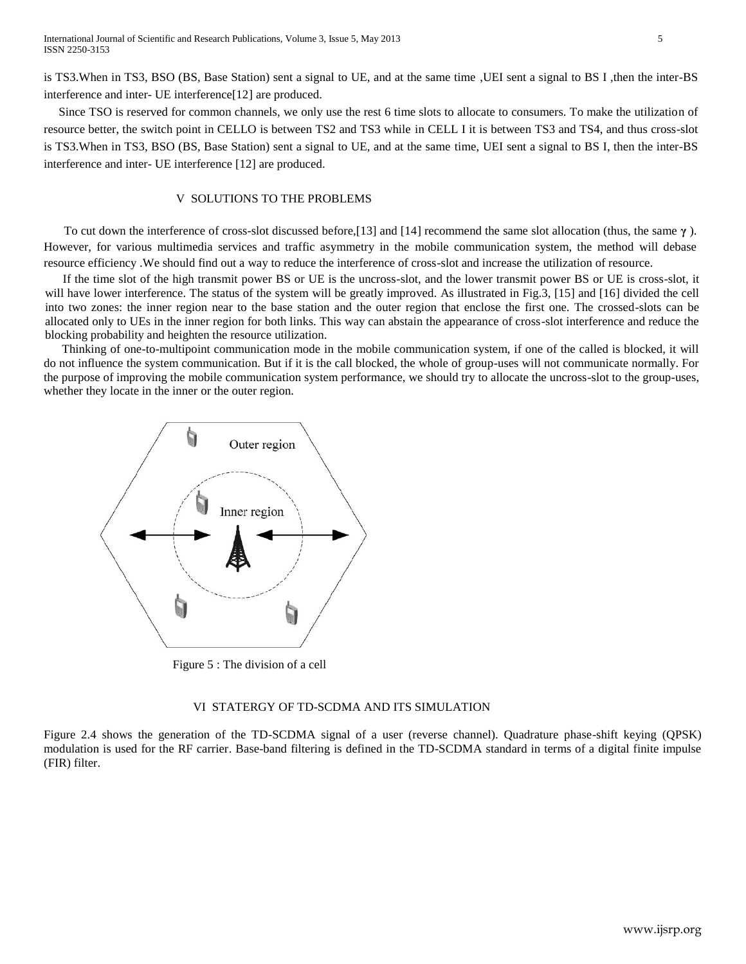is TS3.When in TS3, BSO (BS, Base Station) sent a signal to UE, and at the same time ,UEI sent a signal to BS I ,then the inter-BS interference and inter- UE interference[12] are produced.

Since TSO is reserved for common channels, we only use the rest 6 time slots to allocate to consumers. To make the utilization of resource better, the switch point in CELLO is between TS2 and TS3 while in CELL I it is between TS3 and TS4, and thus cross-slot is TS3.When in TS3, BSO (BS, Base Station) sent a signal to UE, and at the same time, UEI sent a signal to BS I, then the inter-BS interference and inter- UE interference [12] are produced.

## V SOLUTIONS TO THE PROBLEMS

To cut down the interference of cross-slot discussed before,[13] and [14] recommend the same slot allocation (thus, the same **γ** ). However, for various multimedia services and traffic asymmetry in the mobile communication system, the method will debase resource efficiency .We should find out a way to reduce the interference of cross-slot and increase the utilization of resource.

If the time slot of the high transmit power BS or UE is the uncross-slot, and the lower transmit power BS or UE is cross-slot, it will have lower interference. The status of the system will be greatly improved. As illustrated in Fig.3, [15] and [16] divided the cell into two zones: the inner region near to the base station and the outer region that enclose the first one. The crossed-slots can be allocated only to UEs in the inner region for both links. This way can abstain the appearance of cross-slot interference and reduce the blocking probability and heighten the resource utilization.

 Thinking of one-to-multipoint communication mode in the mobile communication system, if one of the called is blocked, it will do not influence the system communication. But if it is the call blocked, the whole of group-uses will not communicate normally. For the purpose of improving the mobile communication system performance, we should try to allocate the uncross-slot to the group-uses, whether they locate in the inner or the outer region.



Figure 5 : The division of a cell

#### VI STATERGY OF TD-SCDMA AND ITS SIMULATION

Figure 2.4 shows the generation of the TD-SCDMA signal of a user (reverse channel). Quadrature phase-shift keying (QPSK) modulation is used for the RF carrier. Base-band filtering is defined in the TD-SCDMA standard in terms of a digital finite impulse (FIR) filter.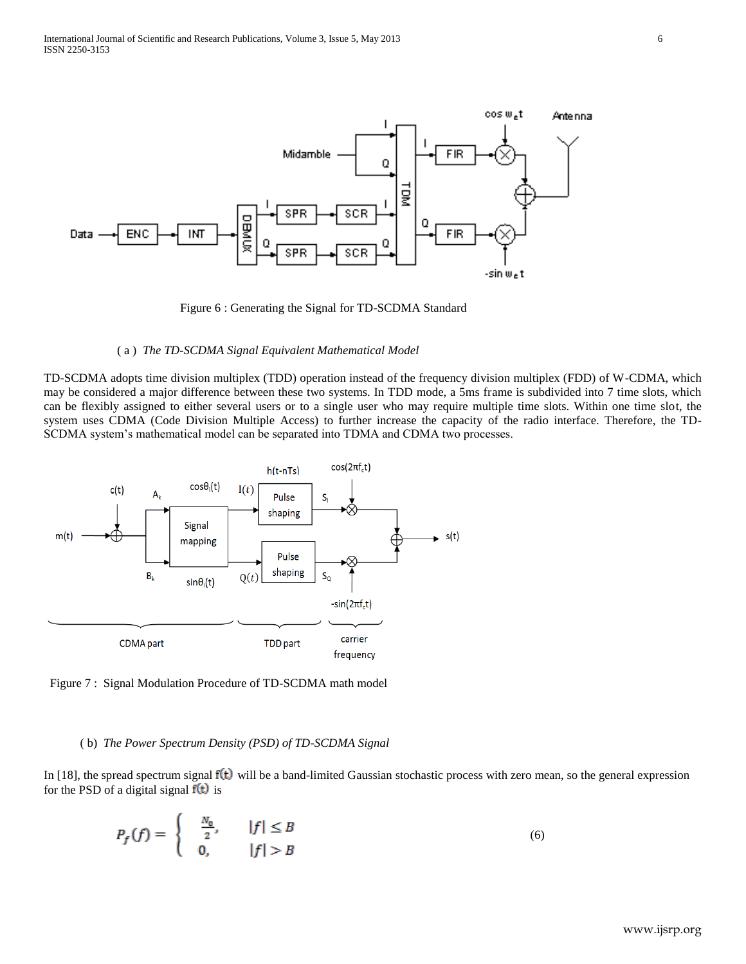

Figure 6 : Generating the Signal for TD-SCDMA Standard

#### ( a ) *The TD-SCDMA Signal Equivalent Mathematical Model*

TD-SCDMA adopts time division multiplex (TDD) operation instead of the frequency division multiplex (FDD) of W-CDMA, which may be considered a major difference between these two systems. In TDD mode, a 5ms frame is subdivided into 7 time slots, which can be flexibly assigned to either several users or to a single user who may require multiple time slots. Within one time slot, the system uses CDMA (Code Division Multiple Access) to further increase the capacity of the radio interface. Therefore, the TD-SCDMA system's mathematical model can be separated into TDMA and CDMA two processes.



Figure 7 : Signal Modulation Procedure of TD-SCDMA math model

## ( b) *The Power Spectrum Density (PSD) of TD-SCDMA Signal*

In [18], the spread spectrum signal  $f(t)$  will be a band-limited Gaussian stochastic process with zero mean, so the general expression for the PSD of a digital signal  $f(t)$  is

$$
P_f(f) = \begin{cases} \frac{N_0}{2}, & |f| \le B \\ 0, & |f| > B \end{cases} \tag{6}
$$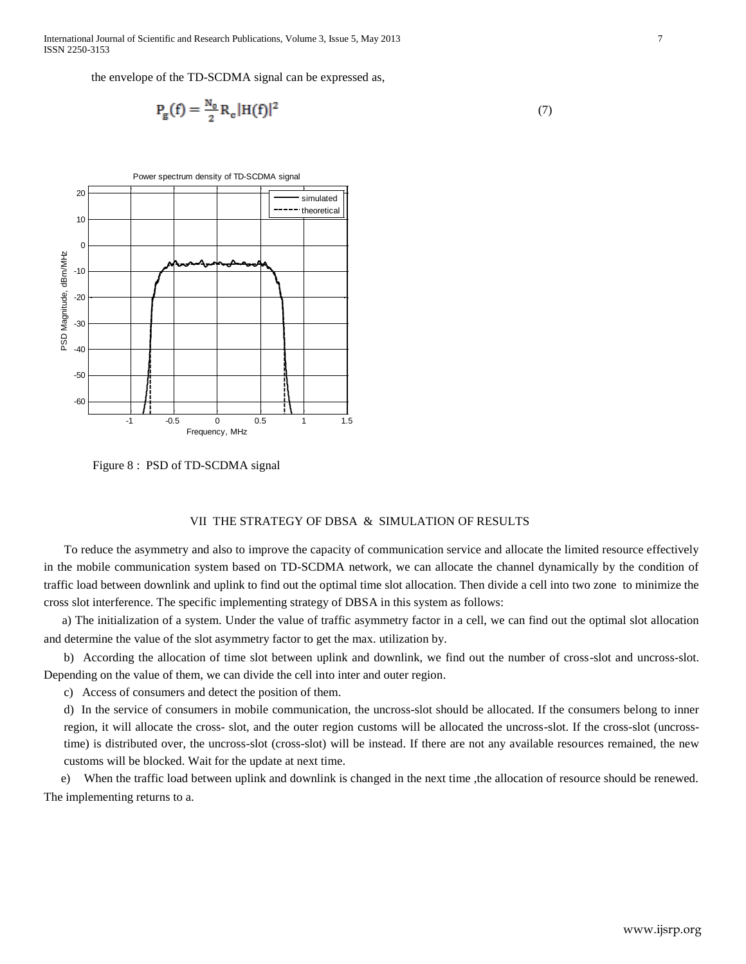International Journal of Scientific and Research Publications, Volume 3, Issue 5, May 2013 7 ISSN 2250-3153

the envelope of the TD-SCDMA signal can be expressed as,

$$
P_g(f) = \frac{N_o}{2} R_e |H(f)|^2
$$
 (7)



Figure 8 : PSD of TD-SCDMA signal

## VII THE STRATEGY OF DBSA & SIMULATION OF RESULTS

To reduce the asymmetry and also to improve the capacity of communication service and allocate the limited resource effectively in the mobile communication system based on TD-SCDMA network, we can allocate the channel dynamically by the condition of traffic load between downlink and uplink to find out the optimal time slot allocation. Then divide a cell into two zone to minimize the cross slot interference. The specific implementing strategy of DBSA in this system as follows:

a) The initialization of a system. Under the value of traffic asymmetry factor in a cell, we can find out the optimal slot allocation and determine the value of the slot asymmetry factor to get the max. utilization by.

b) According the allocation of time slot between uplink and downlink, we find out the number of cross-slot and uncross-slot. Depending on the value of them, we can divide the cell into inter and outer region.

c) Access of consumers and detect the position of them.

d) In the service of consumers in mobile communication, the uncross-slot should be allocated. If the consumers belong to inner region, it will allocate the cross- slot, and the outer region customs will be allocated the uncross-slot. If the cross-slot (uncrosstime) is distributed over, the uncross-slot (cross-slot) will be instead. If there are not any available resources remained, the new customs will be blocked. Wait for the update at next time.

e) When the traffic load between uplink and downlink is changed in the next time ,the allocation of resource should be renewed. The implementing returns to a.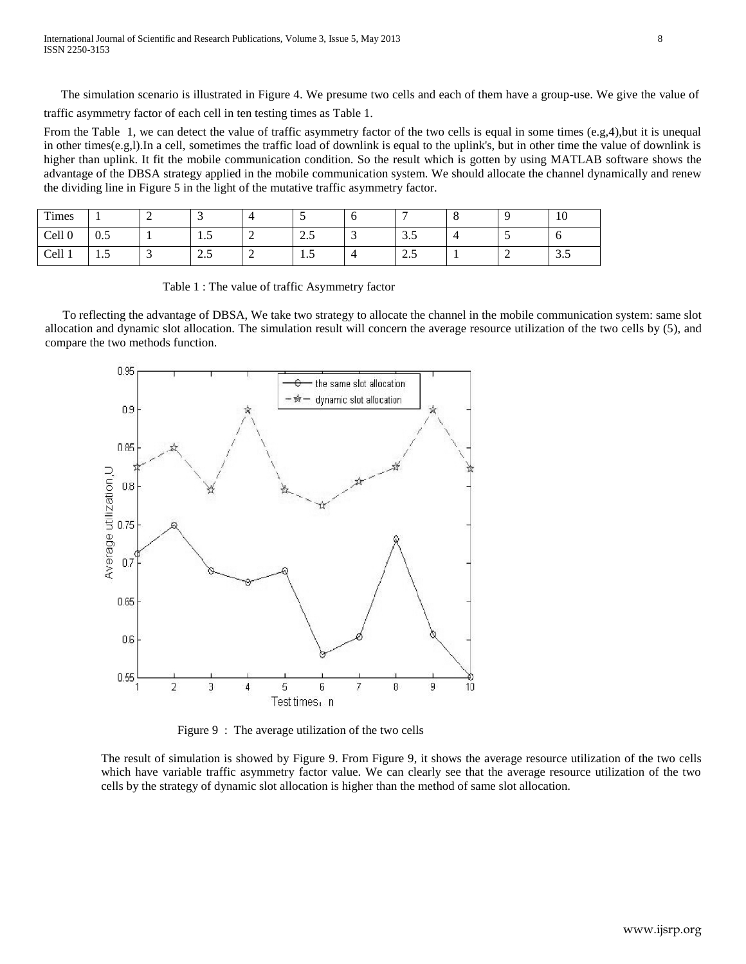The simulation scenario is illustrated in Figure 4. We presume two cells and each of them have a group-use. We give the value of traffic asymmetry factor of each cell in ten testing times as Table 1.

From the Table 1, we can detect the value of traffic asymmetry factor of the two cells is equal in some times (e.g,4),but it is unequal in other times(e.g,l).In a cell, sometimes the traffic load of downlink is equal to the uplink's, but in other time the value of downlink is higher than uplink. It fit the mobile communication condition. So the result which is gotten by using MATLAB software shows the advantage of the DBSA strategy applied in the mobile communication system. We should allocate the channel dynamically and renew the dividing line in Figure 5 in the light of the mutative traffic asymmetry factor.

| Times             |                      | ∼ | ຼ       | ↤ | $\overline{\phantom{0}}$ | ◡ | -     | Ő |   | 1V  |
|-------------------|----------------------|---|---------|---|--------------------------|---|-------|---|---|-----|
| Cell <sub>0</sub> | $\Omega$<br>-<br>U.J |   | $\cdot$ | ∼ | -<br>ر…                  | ັ | ن.ر   | - | ້ | ◡   |
| Cell 1            | $\cdot$              | - | -<br>ر… | ∠ | $\cdot$                  | - | ل و گ |   | ∼ | ن.ر |

|  |  |  | Table 1 : The value of traffic Asymmetry factor |  |
|--|--|--|-------------------------------------------------|--|
|  |  |  |                                                 |  |

To reflecting the advantage of DBSA, We take two strategy to allocate the channel in the mobile communication system: same slot allocation and dynamic slot allocation. The simulation result will concern the average resource utilization of the two cells by (5), and compare the two methods function.



Figure 9 : The average utilization of the two cells

The result of simulation is showed by Figure 9. From Figure 9, it shows the average resource utilization of the two cells which have variable traffic asymmetry factor value. We can clearly see that the average resource utilization of the two cells by the strategy of dynamic slot allocation is higher than the method of same slot allocation.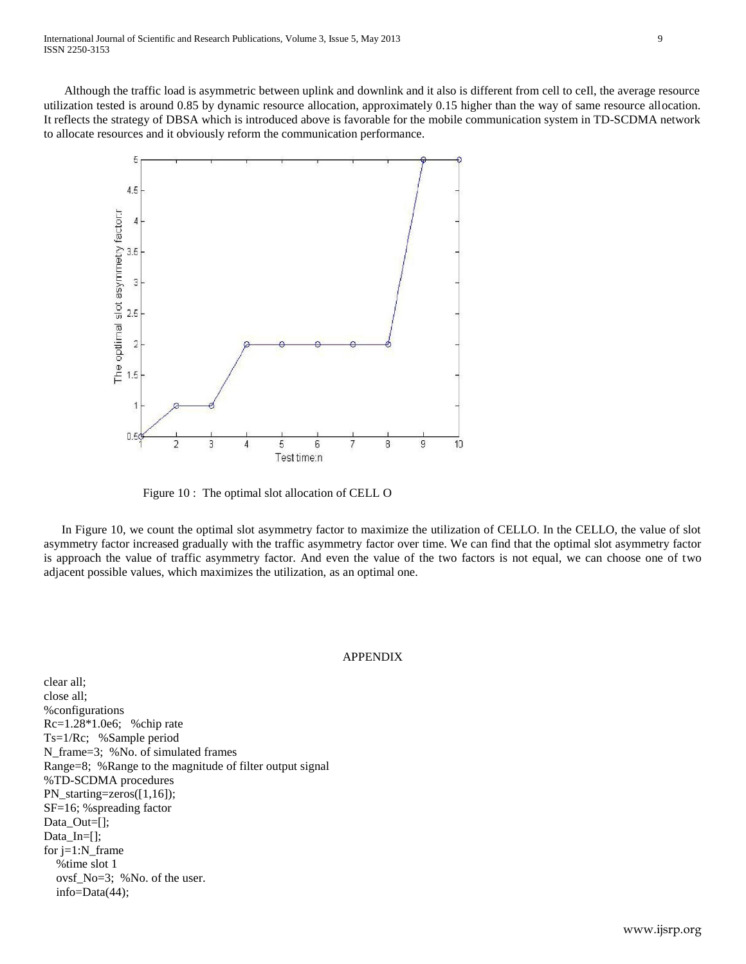Although the traffic load is asymmetric between uplink and downlink and it also is different from cell to ceIl, the average resource utilization tested is around 0.85 by dynamic resource allocation, approximately 0.15 higher than the way of same resource allocation. It reflects the strategy of DBSA which is introduced above is favorable for the mobile communication system in TD-SCDMA network to allocate resources and it obviously reform the communication performance.



Figure 10 : The optimal slot allocation of CELL O

In Figure 10, we count the optimal slot asymmetry factor to maximize the utilization of CELLO. In the CELLO, the value of slot asymmetry factor increased gradually with the traffic asymmetry factor over time. We can find that the optimal slot asymmetry factor is approach the value of traffic asymmetry factor. And even the value of the two factors is not equal, we can choose one of two adjacent possible values, which maximizes the utilization, as an optimal one.

## APPENDIX

clear all; close all; %configurations Rc=1.28\*1.0e6; %chip rate Ts=1/Rc; %Sample period N\_frame=3; %No. of simulated frames Range=8; %Range to the magnitude of filter output signal %TD-SCDMA procedures PN\_starting=zeros([1,16]); SF=16; %spreading factor Data Out=[]; Data\_In=[]; for j=1:N\_frame %time slot 1 ovsf\_No=3; %No. of the user. info=Data(44);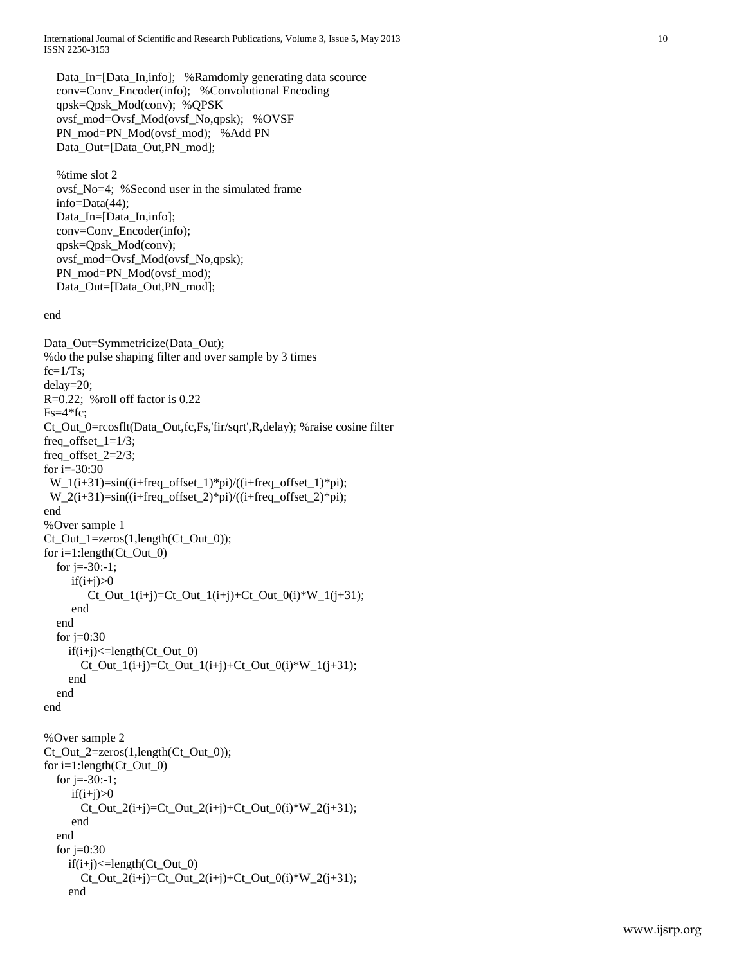International Journal of Scientific and Research Publications, Volume 3, Issue 5, May 2013 10 ISSN 2250-3153

 Data\_In=[Data\_In,info]; %Ramdomly generating data scource conv=Conv\_Encoder(info); %Convolutional Encoding qpsk=Qpsk\_Mod(conv); %QPSK ovsf\_mod=Ovsf\_Mod(ovsf\_No,qpsk); %OVSF PN\_mod=PN\_Mod(ovsf\_mod); %Add PN Data\_Out=[Data\_Out,PN\_mod];

 %time slot 2 ovsf\_No=4; %Second user in the simulated frame info=Data(44); Data\_In=[Data\_In,info]; conv=Conv\_Encoder(info); qpsk=Qpsk\_Mod(conv); ovsf\_mod=Ovsf\_Mod(ovsf\_No,qpsk); PN\_mod=PN\_Mod(ovsf\_mod); Data\_Out=[Data\_Out,PN\_mod];

end

```
Data Out=Symmetricize(Data Out);
%do the pulse shaping filter and over sample by 3 times
fc=1/Ts;
delay=20;
R=0.22; %roll off factor is 0.22
Fs=4*fc;Ct_Out_0=rcosflt(Data_Out,fc,Fs,'fir/sqrt',R,delay); %raise cosine filter
freq_offset_1=1/3;
freq_offset_2=2/3;
for i=30:30W_1(i+31)=sin((i+freq_offset_1)*pi)/((i+freq_offset_1)*pi);W_2(i+31)=sin((i+freq_offset_2)*pi)/((i+freq_offset_2)*pi);end
%Over sample 1
Ct_Out_1=zeros(1,length(Ct_Out_0);
for i=1:length(Ct_Out_0)
  for j = -30:-1;if(i+j)>0Ct\_Out_1(i+j)=Ct\_Out_1(i+j)+Ct\_Out_0(i)*W_1(j+31); end
   end
  for j=0:30if(i+j) \leq length(Ct_Out_0)Ct\_Out_1(i+j)=Ct\_Out_1(i+j)+Ct\_Out_0(i)*W_1(i+31); end
   end
end
%Over sample 2
Ct_Out_2=zeros(1,length(Ct_Out_0));
for i=1:length(Ct_Out_0)for j = -30:-1;
     if(i+j)>0Ct\_Out_2(i+j)=Ct\_Out_2(i+j)+Ct\_Out_0(i)*W_2(i+31); end
   end
  for j=0:30if(i+j) \leq length(Ct_Out_0)Ct\_Out_2(i+j)=Ct\_Out_2(i+j)+Ct\_Out_0(i)*W_2(i+31); end
```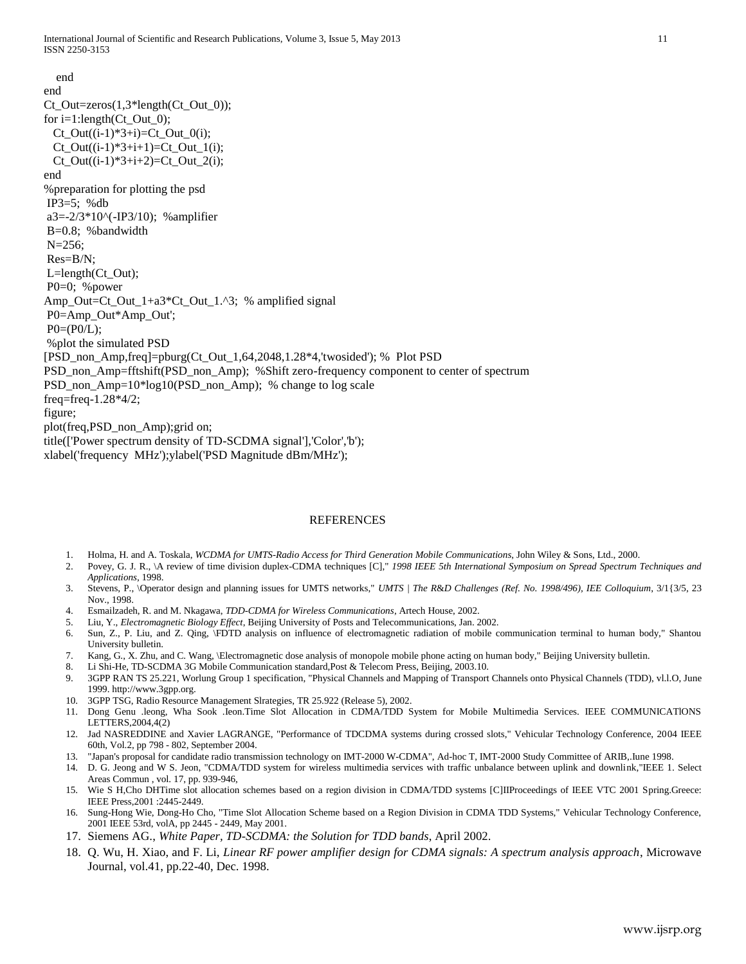end end Ct\_Out=zeros(1,3\*length(Ct\_Out\_0)); for  $i=1$ :length( $Ct_Out_0$ );  $Ct\_Out((i-1)*3+i)=Ct\_Out_0(i);$  $Ct\_Out((i-1)*3+i+1)=Ct\_Out_1(i);$  $Ct\_Out((i-1)*3+i+2)=Ct\_Out_2(i);$ end %preparation for plotting the psd IP3=5; %db  $a3=-2/3*10$ <sup> $\wedge$ </sup>(-IP3/10); % amplifier B=0.8; %bandwidth N=256; Res=B/N; L=length(Ct\_Out); P0=0; %power Amp\_Out=Ct\_Out\_1+a3\*Ct\_Out\_1.^3; % amplified signal P0=Amp\_Out\*Amp\_Out';  $P0=(P0/L);$ %plot the simulated PSD [PSD\_non\_Amp,freq]=pburg(Ct\_Out\_1,64,2048,1.28\*4,'twosided'); % Plot PSD PSD\_non\_Amp=fftshift(PSD\_non\_Amp); %Shift zero-frequency component to center of spectrum PSD\_non\_Amp=10\*log10(PSD\_non\_Amp); % change to log scale freq=freq-1.28\*4/2; figure; plot(freq,PSD\_non\_Amp);grid on; title(['Power spectrum density of TD-SCDMA signal'],'Color','b'); xlabel('frequency MHz');ylabel('PSD Magnitude dBm/MHz');

## REFERENCES

- 1. Holma, H. and A. Toskala, *WCDMA for UMTS-Radio Access for Third Generation Mobile Communications*, John Wiley & Sons, Ltd., 2000.
- 2. Povey, G. J. R., \A review of time division duplex-CDMA techniques [C]," *1998 IEEE 5th International Symposium on Spread Spectrum Techniques and Applications*, 1998.
- 3. Stevens, P., \Operator design and planning issues for UMTS networks," *UMTS | The R*&*D Challenges (Ref. No. 1998/496), IEE Colloquium*, 3/1{3/5, 23 Nov., 1998.
- 4. Esmailzadeh, R. and M. Nkagawa, *TDD-CDMA for Wireless Communications*, Artech House, 2002.
- 5. Liu, Y., *Electromagnetic Biology Effect*, Beijing University of Posts and Telecommunications, Jan. 2002.
- 6. Sun, Z., P. Liu, and Z. Qing, \FDTD analysis on influence of electromagnetic radiation of mobile communication terminal to human body," Shantou University bulletin.
- 7. Kang, G., X. Zhu, and C. Wang, \Electromagnetic dose analysis of monopole mobile phone acting on human body," Beijing University bulletin.
- 8. Li Shi-He, TD-SCDMA 3G Mobile Communication standard,Post & Telecom Press, Beijing, 2003.10.
- 9. 3GPP RAN TS 25.221, Worlung Group 1 specification, "Physical Channels and Mapping of Transport Channels onto Physical Channels (TDD), vl.l.O, June 1999. http://www.3gpp.org.
- 10. 3GPP TSG, Radio Resource Management Slrategies, TR 25.922 (Release 5), 2002.
- 11. Dong Genu .leong, Wha Sook .Ieon.Time Slot Allocation in CDMA/TDD System for Mobile Multimedia Services. IEEE COMMUNICATlONS LETTERS,2004,4(2)
- 12. Jad NASREDDINE and Xavier LAGRANGE, "Performance of TDCDMA systems during crossed slots," Vehicular Technology Conference, 2004 IEEE 60th, Vol.2, pp 798 - 802, September 2004.
- 13. "Japan's proposal for candidate radio transmission technology on IMT-2000 W-CDMA", Ad-hoc T, IMT-2000 Study Committee of ARIB,.Iune 1998.
- 14. D. G. Jeong and W S. Jeon, "CDMA/TDD system for wireless multimedia services with traffic unbalance between uplink and downlink,"IEEE 1. Select Areas Commun , vol. 17, pp. 939-946,
- 15. Wie S H,Cho DHTime slot allocation schemes based on a region division in CDMA/TDD systems [C]IIProceedings of IEEE VTC 2001 Spring.Greece: IEEE Press,2001 :2445-2449.
- 16. Sung-Hong Wie, Dong-Ho Cho, "Time Slot Allocation Scheme based on a Region Division in CDMA TDD Systems," Vehicular Technology Conference, 2001 IEEE 53rd, volA, pp 2445 - 2449, May 2001.
- 17. Siemens AG., *White Paper, TD-SCDMA: the Solution for TDD bands*, April 2002.
- 18. Q. Wu, H. Xiao, and F. Li, *Linear RF power amplifier design for CDMA signals: A spectrum analysis approach*, Microwave Journal, vol.41, pp.22-40, Dec. 1998.